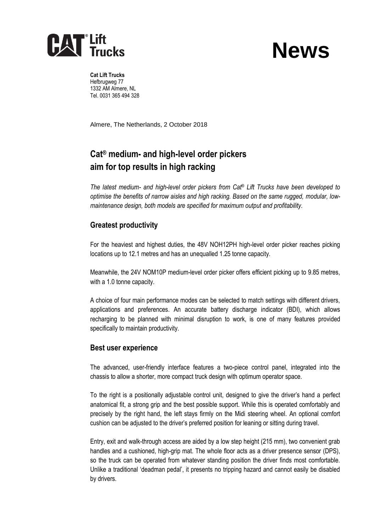

# **News**

**Cat Lift Trucks** Hefbrugweg 77 1332 AM Almere, NL Tel. 0031 365 494 328

Almere, The Netherlands, 2 October 2018

# **Cat® medium- and high-level order pickers aim for top results in high racking**

*The latest medium- and high-level order pickers from Cat*® *Lift Trucks have been developed to optimise the benefits of narrow aisles and high racking. Based on the same rugged, modular, lowmaintenance design, both models are specified for maximum output and profitability.*

# **Greatest productivity**

For the heaviest and highest duties, the 48V NOH12PH high-level order picker reaches picking locations up to 12.1 metres and has an unequalled 1.25 tonne capacity.

Meanwhile, the 24V NOM10P medium-level order picker offers efficient picking up to 9.85 metres, with a 1.0 tonne capacity.

A choice of four main performance modes can be selected to match settings with different drivers, applications and preferences. An accurate battery discharge indicator (BDI), which allows recharging to be planned with minimal disruption to work, is one of many features provided specifically to maintain productivity.

### **Best user experience**

The advanced, user-friendly interface features a two-piece control panel, integrated into the chassis to allow a shorter, more compact truck design with optimum operator space.

To the right is a positionally adjustable control unit, designed to give the driver's hand a perfect anatomical fit, a strong grip and the best possible support. While this is operated comfortably and precisely by the right hand, the left stays firmly on the Midi steering wheel. An optional comfort cushion can be adjusted to the driver's preferred position for leaning or sitting during travel.

Entry, exit and walk-through access are aided by a low step height (215 mm), two convenient grab handles and a cushioned, high-grip mat. The whole floor acts as a driver presence sensor (DPS), so the truck can be operated from whatever standing position the driver finds most comfortable. Unlike a traditional 'deadman pedal', it presents no tripping hazard and cannot easily be disabled by drivers.